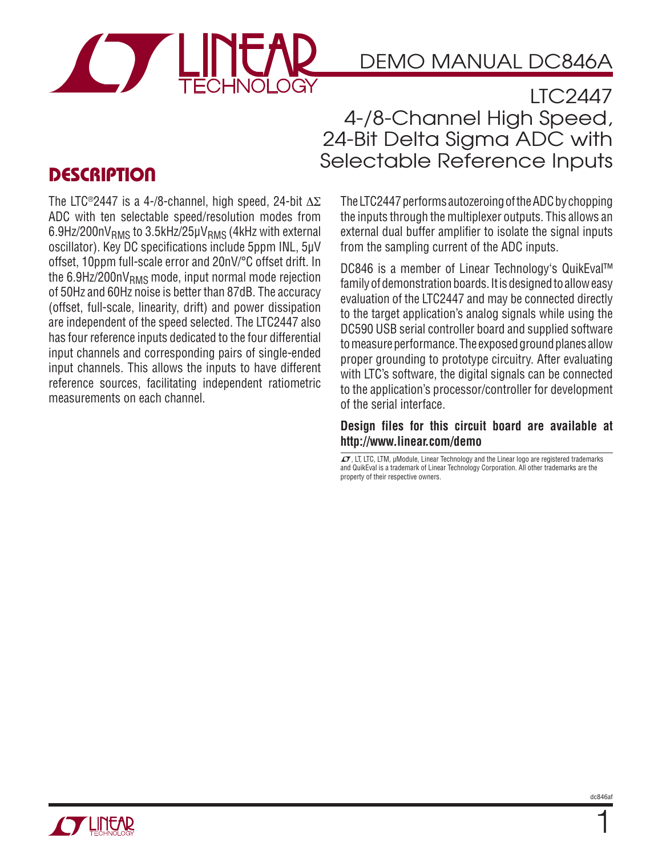

# DEMO MANUAL DC846A

LTC2447 4-/8-Channel High Speed, 24-Bit Delta Sigma ADC with Selectable Reference Inputs

### **DESCRIPTION**

The LTC®2447 is a 4-/8-channel, high speed, 24-bit  $\Delta \Sigma$ ADC with ten selectable speed/resolution modes from  $6.9$ Hz/200nV<sub>RMS</sub> to 3.5kHz/25 $\mu$ V<sub>RMS</sub> (4kHz with external oscillator). Key DC specifications include 5ppm INL, 5μV offset, 10ppm full-scale error and 20nV/°C offset drift. In the 6.9Hz/200n $V<sub>RMS</sub>$  mode, input normal mode rejection of 50Hz and 60Hz noise is better than 87dB. The accuracy (offset, full-scale, linearity, drift) and power dissipation are independent of the speed selected. The LTC2447 also has four reference inputs dedicated to the four differential input channels and corresponding pairs of single-ended input channels. This allows the inputs to have different reference sources, facilitating independent ratiometric measurements on each channel.

The LTC2447 performs autozeroing of the ADC by chopping the inputs through the multiplexer outputs. This allows an external dual buffer amplifier to isolate the signal inputs from the sampling current of the ADC inputs.

DC846 is a member of Linear Technology's QuikEval™ family of demonstration boards. It is designed to allow easy evaluation of the LTC2447 and may be connected directly to the target application's analog signals while using the DC590 USB serial controller board and supplied software to measure performance. The exposed ground planes allow proper grounding to prototype circuitry. After evaluating with LTC's software, the digital signals can be connected to the application's processor/controller for development of the serial interface.

#### **Design files for this circuit board are available at http://www.linear.com/demo**

LT, LT, LTC, LTM, μModule, Linear Technology and the Linear logo are registered trademarks and QuikEval is a trademark of Linear Technology Corporation. All other trademarks are the property of their respective owners.



1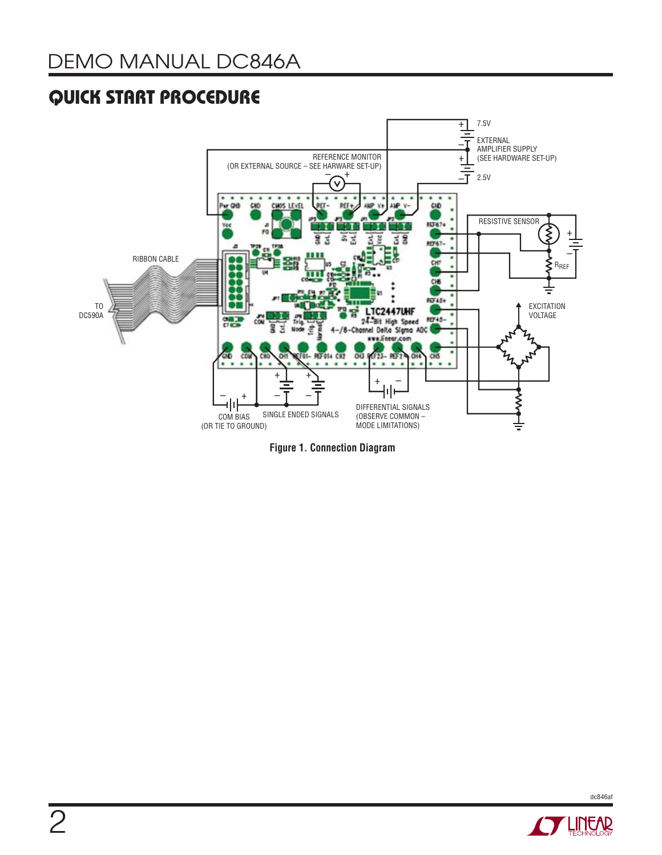### **QUICK START PROCEDURE**



**Figure 1. Connection Diagram**



dc846af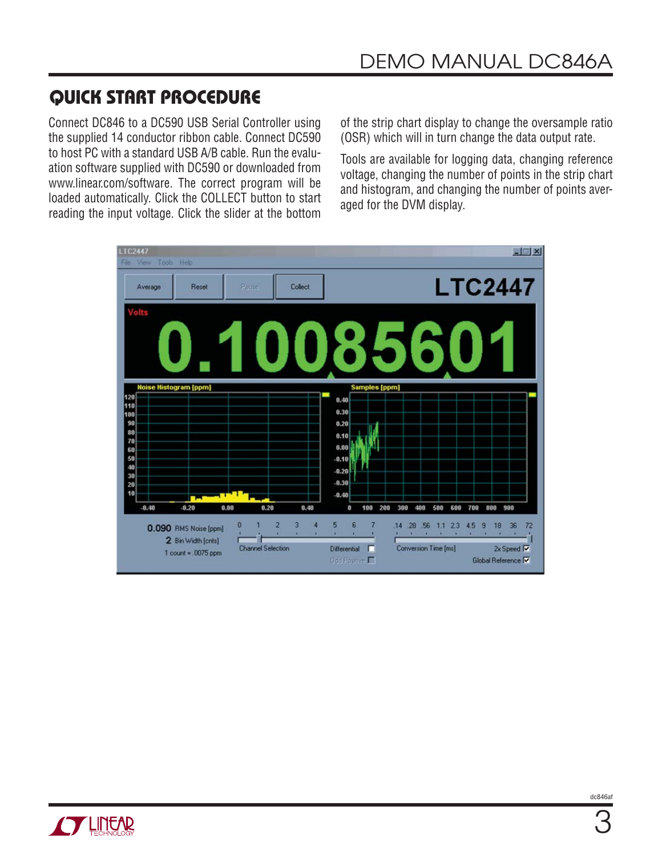### **QUICK START PROCEDURE**

Connect DC846 to a DC590 USB Serial Controller using the supplied 14 conductor ribbon cable. Connect DC590 to host PC with a standard USB A/B cable. Run the evaluation software supplied with DC590 or downloaded from www.linear.com/software. The correct program will be loaded automatically. Click the COLLECT button to start reading the input voltage. Click the slider at the bottom

of the strip chart display to change the oversample ratio (OSR) which will in turn change the data output rate.

Tools are available for logging data, changing reference voltage, changing the number of points in the strip chart and histogram, and changing the number of points averaged for the DVM display.



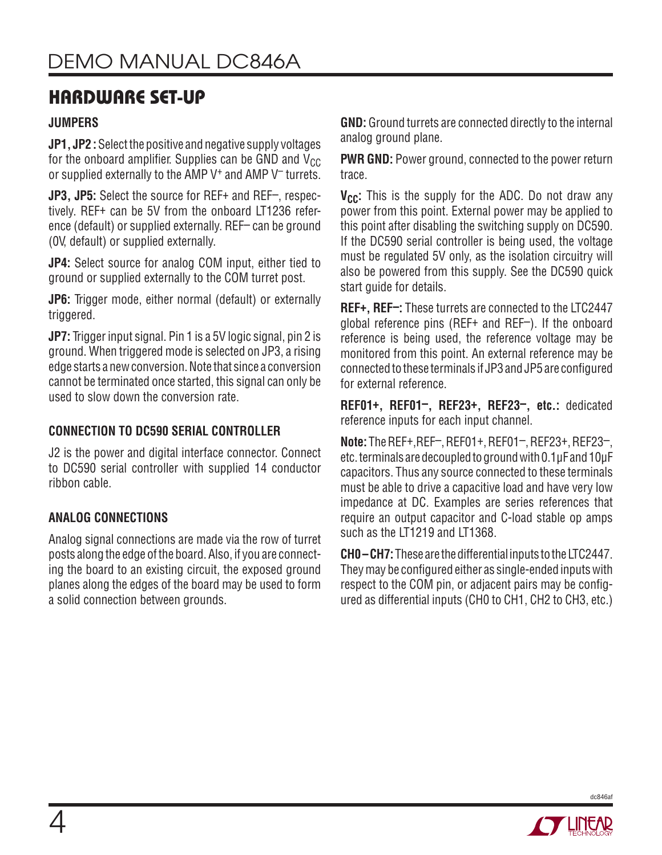### **HARDWARE SET-UP**

#### **JUMPERS**

**JP1, JP2 :** Select the positive and negative supply voltages for the onboard amplifier. Supplies can be GND and  $V_{CC}$ or supplied externally to the AMP V<sup>+</sup> and AMP V<sup>-</sup> turrets.

**JP3, JP5:** Select the source for REF+ and REF–, respectively. REF+ can be 5V from the onboard LT1236 reference (default) or supplied externally. REF– can be ground (0V, default) or supplied externally.

**JP4:** Select source for analog COM input, either tied to ground or supplied externally to the COM turret post.

**JP6:** Trigger mode, either normal (default) or externally triggered.

**JP7:** Trigger input signal. Pin 1 is a 5V logic signal, pin 2 is ground. When triggered mode is selected on JP3, a rising edge starts a new conversion. Note that since a conversion cannot be terminated once started, this signal can only be used to slow down the conversion rate.

#### **CONNECTION TO DC590 SERIAL CONTROLLER**

J2 is the power and digital interface connector. Connect to DC590 serial controller with supplied 14 conductor ribbon cable.

#### **ANALOG CONNECTIONS**

Analog signal connections are made via the row of turret posts along the edge of the board. Also, if you are connecting the board to an existing circuit, the exposed ground planes along the edges of the board may be used to form a solid connection between grounds.

**GND:** Ground turrets are connected directly to the internal analog ground plane.

**PWR GND:** Power ground, connected to the power return trace.

**V<sub>CC</sub>:** This is the supply for the ADC. Do not draw any power from this point. External power may be applied to this point after disabling the switching supply on DC590. If the DC590 serial controller is being used, the voltage must be regulated 5V only, as the isolation circuitry will also be powered from this supply. See the DC590 quick start quide for details.

**REF+, REF–:** These turrets are connected to the LTC2447 global reference pins (REF+ and REF–). If the onboard reference is being used, the reference voltage may be monitored from this point. An external reference may be connected to these terminals if JP3 and JP5 are configured for external reference.

**REF01+, REF01–, REF23+, REF23–, etc.:** dedicated reference inputs for each input channel.

**Note:** The REF+,REF–, REF01+, REF01–, REF23+, REF23–, etc. terminals are decoupled to ground with 0.1μF and 10μF capacitors. Thus any source connected to these terminals must be able to drive a capacitive load and have very low impedance at DC. Examples are series references that require an output capacitor and C-load stable op amps such as the LT1219 and LT1368.

**CH0 – CH7:** These are the differential inputs to the LTC2447. They may be configured either as single-ended inputs with respect to the COM pin, or adjacent pairs may be configured as differential inputs (CH0 to CH1, CH2 to CH3, etc.)

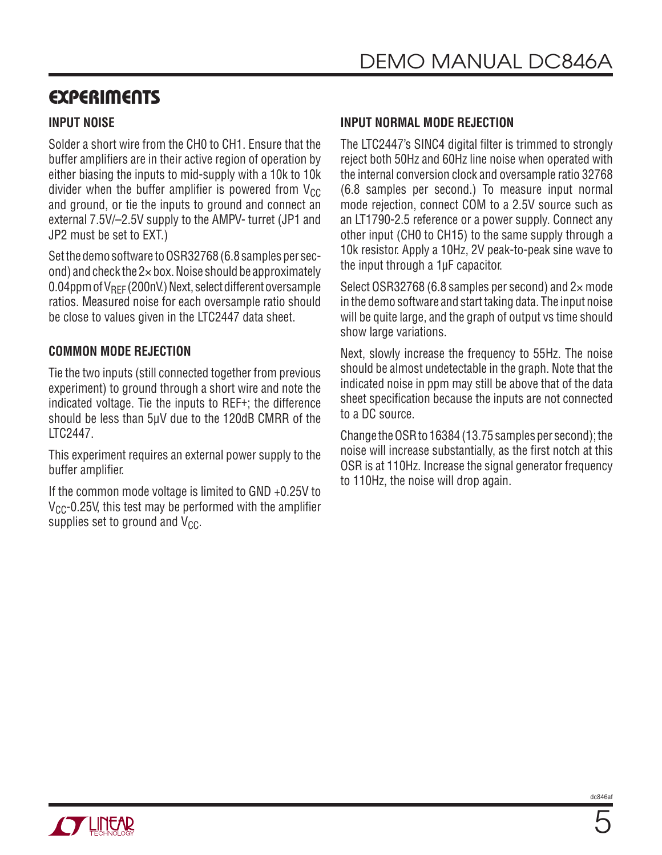### **EXPERIMENTS**

#### **INPUT NOISE**

Solder a short wire from the CH0 to CH1. Ensure that the buffer amplifiers are in their active region of operation by either biasing the inputs to mid-supply with a 10k to 10k divider when the buffer amplifier is powered from  $V_{CC}$ and ground, or tie the inputs to ground and connect an external 7.5V/–2.5V supply to the AMPV- turret (JP1 and JP2 must be set to EXT.)

Set the demo software to OSR32768 (6.8 samples per second) and check the 2× box. Noise should be approximately 0.04ppm of V<sub>REF</sub> (200nV.) Next, select different oversample ratios. Measured noise for each oversample ratio should be close to values given in the LTC2447 data sheet.

#### **COMMON MODE REJECTION**

Tie the two inputs (still connected together from previous experiment) to ground through a short wire and note the indicated voltage. Tie the inputs to REF+; the difference should be less than 5μV due to the 120dB CMRR of the LTC2447.

This experiment requires an external power supply to the buffer amplifier.

If the common mode voltage is limited to GND +0.25V to  $V_{CC}$ -0.25V, this test may be performed with the amplifier supplies set to ground and  $V_{CC}$ .

#### **INPUT NORMAL MODE REJECTION**

The LTC2447's SINC4 digital filter is trimmed to strongly reject both 50Hz and 60Hz line noise when operated with the internal conversion clock and oversample ratio 32768 (6.8 samples per second.) To measure input normal mode rejection, connect COM to a 2.5V source such as an LT1790-2.5 reference or a power supply. Connect any other input (CH0 to CH15) to the same supply through a 10k resistor. Apply a 10Hz, 2V peak-to-peak sine wave to the input through a 1μF capacitor.

Select OSR32768 (6.8 samples per second) and 2× mode in the demo software and start taking data. The input noise will be quite large, and the graph of output vs time should show large variations.

Next, slowly increase the frequency to 55Hz. The noise should be almost undetectable in the graph. Note that the indicated noise in ppm may still be above that of the data sheet specification because the inputs are not connected to a DC source.

Change the OSR to 16384 (13.75 samples per second); the noise will increase substantially, as the first notch at this OSR is at 110Hz. Increase the signal generator frequency to 110Hz, the noise will drop again.

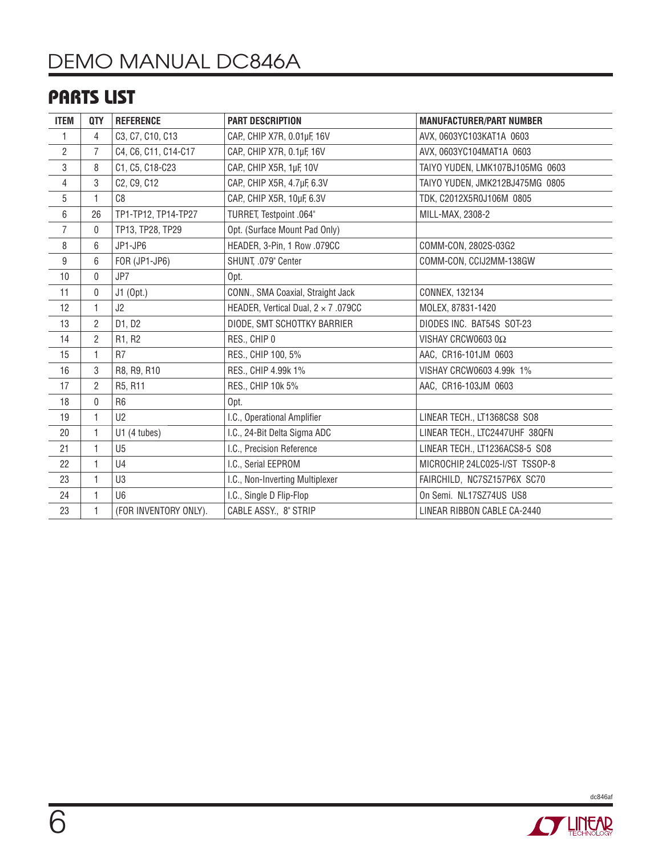# DEMO MANUAL DC846A

### **PARTS LIST**

| <b>ITEM</b>    | QTY            | <b>REFERENCE</b>      | <b>PART DESCRIPTION</b>                    | <b>MANUFACTURER/PART NUMBER</b> |
|----------------|----------------|-----------------------|--------------------------------------------|---------------------------------|
| 1              | 4              | C3, C7, C10, C13      | CAP., CHIP X7R, 0.01µF, 16V                | AVX, 0603YC103KAT1A 0603        |
| $\overline{2}$ | 7              | C4, C6, C11, C14-C17  | CAP., CHIP X7R, 0.1µF, 16V                 | AVX, 0603YC104MAT1A 0603        |
| 3              | 8              | C1, C5, C18-C23       | CAP., CHIP X5R, 1µF, 10V                   | TAIYO YUDEN, LMK107BJ105MG 0603 |
| $\overline{4}$ | 3              | C2, C9, C12           | CAP., CHIP X5R, 4.7µF, 6.3V                | TAIYO YUDEN, JMK212BJ475MG 0805 |
| $\overline{5}$ | $\mathbf{1}$   | C8                    | CAP., CHIP X5R, 10µF, 6.3V                 | TDK, C2012X5R0J106M 0805        |
| 6              | 26             | TP1-TP12, TP14-TP27   | TURRET, Testpoint .064"                    | MILL-MAX, 2308-2                |
| $\overline{7}$ | $\mathbf{0}$   | TP13, TP28, TP29      | Opt. (Surface Mount Pad Only)              |                                 |
| 8              | 6              | JP1-JP6               | HEADER, 3-Pin, 1 Row .079CC                | COMM-CON, 2802S-03G2            |
| $9\,$          | 6              | FOR (JP1-JP6)         | SHUNT, .079" Center                        | COMM-CON, CCIJ2MM-138GW         |
| 10             | 0              | JP7                   | Opt.                                       |                                 |
| 11             | 0              | J1 (Opt.)             | CONN., SMA Coaxial, Straight Jack          | CONNEX, 132134                  |
| 12             | $\mathbf{1}$   | J2                    | HEADER, Vertical Dual, $2 \times 7$ .079CC | MOLEX, 87831-1420               |
| 13             | $\overline{2}$ | D1, D2                | DIODE, SMT SCHOTTKY BARRIER                | DIODES INC. BAT54S SOT-23       |
| 14             | $\overline{2}$ | R1, R2                | RES., CHIP 0                               | VISHAY CRCW0603 0Ω              |
| 15             | 1              | R <sub>7</sub>        | RES., CHIP 100, 5%                         | AAC, CR16-101JM 0603            |
| 16             | 3              | R8, R9, R10           | RES., CHIP 4.99k 1%                        | VISHAY CRCW0603 4.99k 1%        |
| 17             | $\overline{2}$ | R5, R11               | RES., CHIP 10k 5%                          | AAC, CR16-103JM 0603            |
| 18             | $\pmb{0}$      | R <sub>6</sub>        | Opt.                                       |                                 |
| 19             | $\mathbf{1}$   | U <sub>2</sub>        | I.C., Operational Amplifier                | LINEAR TECH., LT1368CS8 SO8     |
| 20             | $\mathbf{1}$   | U1 (4 tubes)          | I.C., 24-Bit Delta Sigma ADC               | LINEAR TECH., LTC2447UHF 38QFN  |
| 21             | 1              | U <sub>5</sub>        | I.C., Precision Reference                  | LINEAR TECH., LT1236ACS8-5 SO8  |
| 22             | 1              | U4                    | I.C., Serial EEPROM                        | MICROCHIP, 24LC025-I/ST TSSOP-8 |
| 23             | $\mathbf{1}$   | U3                    | I.C., Non-Inverting Multiplexer            | FAIRCHILD, NC7SZ157P6X SC70     |
| 24             | $\mathbf{1}$   | U <sub>6</sub>        | I.C., Single D Flip-Flop                   | On Semi. NL17SZ74US US8         |
| 23             | 1              | (FOR INVENTORY ONLY). | CABLE ASSY., 8" STRIP                      | LINEAR RIBBON CABLE CA-2440     |



dc846af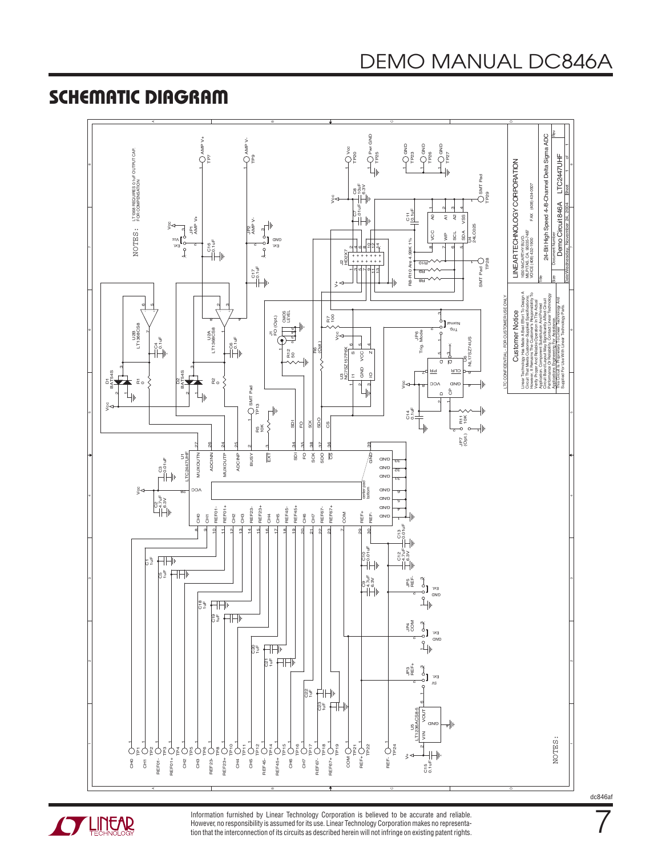#### **SCHEMATIC DIAGRAM**





Information furnished by Linear Technology Corporation is believed to be accurate and reliable. However, no responsibility is assumed for its use. Linear Technology Corporation makes no representation that the interconnection of its circuits as described herein will not infringe on existing patent rights. dc846af

7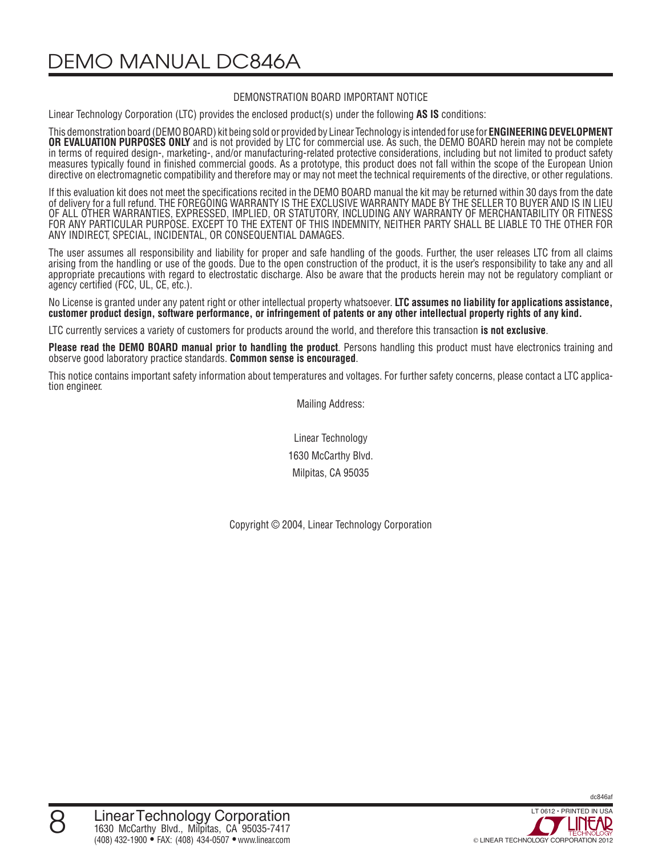DEMO MANUAL DC846A

#### DEMONSTRATION BOARD IMPORTANT NOTICE

Linear Technology Corporation (LTC) provides the enclosed product(s) under the following **AS IS** conditions:

This demonstration board (DEMO BOARD) kit being sold or provided by Linear Technology is intended for use for **ENGINEERING DEVELOPMENT OR EVALUATION PURPOSES ONLY** and is not provided by LTC for commercial use. As such, the DEMO BOARD herein may not be complete in terms of required design-, marketing-, and/or manufacturing-related protective considerations, including but not limited to product safety measures typically found in finished commercial goods. As a prototype, this product does not fall within the scope of the European Union directive on electromagnetic compatibility and therefore may or may not meet the technical requirements of the directive, or other regulations.

If this evaluation kit does not meet the specifications recited in the DEMO BOARD manual the kit may be returned within 30 days from the date of delivery for a full refund. THE FOREGOING WARRANTY IS THE EXCLUSIVE WARRANTY MADE BY THE SELLER TO BUYER AND IS IN LIEU OF ALL OTHER WARRANTIES, EXPRESSED, IMPLIED, OR STATUTORY, INCLUDING ANY WARRANTY OF MERCHANTABILITY OR FITNESS FOR ANY PARTICULAR PURPOSE. EXCEPT TO THE EXTENT OF THIS INDEMNITY, NEITHER PARTY SHALL BE LIABLE TO THE OTHER FOR ANY INDIRECT, SPECIAL, INCIDENTAL, OR CONSEQUENTIAL DAMAGES.

The user assumes all responsibility and liability for proper and safe handling of the goods. Further, the user releases LTC from all claims arising from the handling or use of the goods. Due to the open construction of the product, it is the user's responsibility to take any and all appropriate precautions with regard to electrostatic discharge. Also be aware that the products herein may not be regulatory compliant or agency certified (FCC, UL, CE, etc.).

No License is granted under any patent right or other intellectual property whatsoever. **LTC assumes no liability for applications assistance, customer product design, software performance, or infringement of patents or any other intellectual property rights of any kind.**

LTC currently services a variety of customers for products around the world, and therefore this transaction **is not exclusive**.

**Please read the DEMO BOARD manual prior to handling the product**. Persons handling this product must have electronics training and observe good laboratory practice standards. **Common sense is encouraged**.

This notice contains important safety information about temperatures and voltages. For further safety concerns, please contact a LTC application engineer.

Mailing Address:

Linear Technology 1630 McCarthy Blvd. Milpitas, CA 95035

Copyright © 2004, Linear Technology Corporation

dc846af